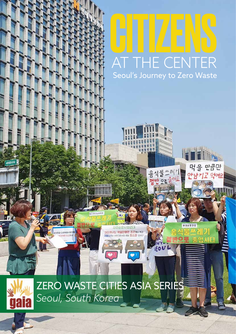# HIII ZEN AT THE CENTER Seoul's Journey to Zero Waste

물쓰레기

 $O<sub>2</sub>$ 

**EOUL** 

여피

232320

음전

큼만

머어요

ZERO WASTE CITIES ASIA SERIES *Seoul, South Korea*

가장에서는 먹음만큼만 조건해내야고 prior and 314 of early

 $\bullet$ 

.<br>Missuaeus geug

gaia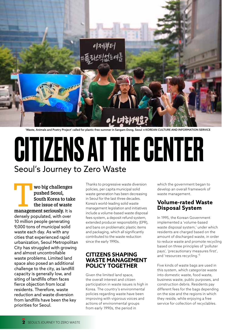

'Waste, Animals and Poetry Project' called for plastic-free summer in Sangam-Dong, Seoul © KOREAN CULTURE AND INFORMATION SERVICE

## CITIZENS AT THE CENTER Seoul's Journey to Zero Waste

**1999 Wo big challenges pushed Seoul, South Korea to take the issue of waste management seriously. It is pushed Seoul, South Korea to take the issue of waste**  densely populated, with over 10 million people generating 9,000 tons of municipal solid waste each day. As with any cities that experienced rapid urbanization, Seoul Metropolitan City has struggled with growing and almost uncontrollable waste problems. Limited land space also posed an additional challenge to the city, as landfill capacity is generally low, and siting of landfills often faces fierce objection from local residents. Therefore, waste reduction and waste diversion from landfills have been the key priorities for Seoul.

Thanks to progressive waste diversion policies, per capita municipal solid waste generation has been decreasing in Seoul for the last three decades. Korea's world-leading solid waste management legislation and initiatives include a volume-based waste disposal fees system, a deposit refund system, extended producer responsibility (EPR), and bans on problematic plastic items and packaging, which all significantly contributed to the waste reduction since the early 1990s.

#### **CITIZENS SHAPING WASTE MANAGEMENT POLICY TOGETHER**

Given the limited land space, the overall interest and citizen participation in waste issues is high in Korea. The country's environmental policies regarding waste have been improving with vigorous voices and actions of environmental groups from early 1990s, the period in

which the government began to develop an overall framework of waste management.

#### **Volume-rated Waste Disposal System**

In 1995, the Korean Government implemented a 'volume-based waste disposal system,' under which residents are charged based on the amount of discharged waste, in order to reduce waste and promote recycling based on three principles of 'polluter pays', 'precautionary measures first', and 'resources recycling.'<sup>1</sup>

Five kinds of waste bags are used in this system, which categorize waste into domestic waste, food waste, business waste, public purposes, and construction debris. Residents pay different fees for the bags depending on the size and the regions in which they reside, while enjoying a free service for collection of recyclables.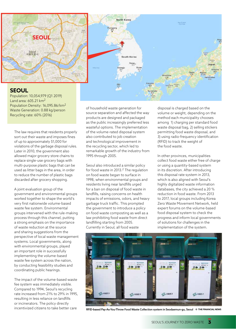

Population: 10,054,979 (Q1 2019) Land area: 605.21 km<sup>2</sup> Population Density: 16,095.86/km<sup>2</sup> Waste Generation: 0.88 kg/person Recycling rate: 60% (2016)

The law requires that residents properly sort out their waste and imposes fines of up to approximately \$1,000 for violations of the garbage disposal rules. Later in 2010, the government also allowed major grocery store chains to replace single-use grocery bags with multi-purpose plastic bags that can be used as litter bags in the area, in order to reduce the number of plastic bags discarded after grocery shopping.

A joint evaluation group of the government and environmental groups worked together to shape the world's very first nationwide volume-based waste fee system. Environmental groups intervened with the rule-making process through this channel, putting a strong emphasis on the importance of waste reduction at the source and sharing suggestions from the perspective of local waste management systems. Local governments, along with environmental groups, played an important role in successfully implementing the volume-based waste fee system across the nation, by conducting feasibility studies and coordinating public hearings.

The impact of the volume-based waste fee system was immediately visible. Compared to 1994, Seoul's recycling rate increased from 21% to 29% in 1995, resulting in less reliance on landfills or incinerators. The policy directly incentivized citizens to take better care

of household waste generation for source separation and affected the way products are designed and packaged as the public increasingly preferred less wasteful options. The implementation of the volume-rated disposal system also contributed to job creation and technological improvement in the recycling sector, which led to remarkable growth of the industry from 1995 through 2005.

Seoul also introduced a similar policy for food waste in 2013.<sup>2</sup> The regulation on food waste began to surface in 1998, when environmental groups and residents living near landfills urged for a ban on disposal of food waste in landfills, raising concerns on health impacts of emissions, odors, and heavy garbage truck traffic. This prompted the government to introduce a policy on food waste composting as well as a law prohibiting food waste from direct landfilling starting from 2005. Currently in Seoul, all food waste

disposal is charged based on the volume or weight, depending on the method each municipality chooses among 1) charging per standard food waste disposal bag, 2) selling stickers permitting food waste disposal, and 3) using radio-frequency identification (RFID) to track the weight of the food waste.

In other provinces, municipalities collect food waste either free of charge or using a quantity-based system in its discretion. After introducing this disposal rate system in 2013, which is also aligned with Seoul's highly digitalized waste information databases, the city achieved a 20 % reduction in food waste. From 2013 to 2017, local groups including Korea Zero Waste Movement Network, held expert forums on the volume-based food disposal system to check the progress and inform local governments of solutions for challenges in the implementation of the system.



RFID-based Pay-As-You-Throw Food Waste Collection system in Seodaemun-gu, Seoul © **THE FINANCIAL NEWS**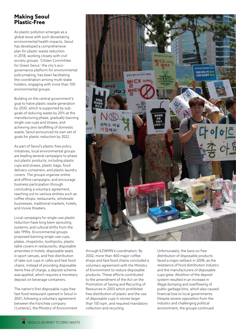#### **Making Seoul Plastic-Free**

As plastic pollution emerges as a global issue with such devastating environmental health impacts, Seoul has developed a comprehensive plan for plastic waste reduction in 2018, working closely with civil society groups. 'Citizen Committee for Green Seoul,' the city's ecogovernance platform for environmental policymaking, has been facilitating the coordination among multi-stake holders, engaging with more than 100 environmental groups.

Building on the central government's goal to halve plastic waste generation by 2030, which is supported by subgoals of reducing waste by 20% at the manufacturing phase, gradually banning single-use cups and straws, and achieving zero landfilling of domestic waste, Seoul announced its own set of goals for plastic reduction by 2022.

As part of Seoul's plastic-free policy initiatives, local environmental groups are leading several campaigns to phase out plastic products, including plastic cups and straws, plastic bags, food delivery containers, and plastic laundry covers. The groups organize online and offline campaigns, and encourage business participation through concluding a voluntary agreement, reaching out to various entities such as coffee shops, restaurants, wholesale businesses, traditional markets, hotels, and movie theaters.

Local campaigns for single-use plastic reduction have long been sprouting systemic and cultural shifts from the late 1990s. Environmental groups proposed banning single-use cups, plates, chopsticks, toothpicks, plastic table covers in restaurants, disposable amenities in hotels, disposable seats in sport venues, and free distribution of take-out cups in cafes and fast food chains. Instead of providing disposable items free of charge, a deposit scheme was applied, which requires a monetary deposit on beverage containers.

The nation's first disposable-cups-free fast food restaurant opened in Seoul in 2001, following a voluntary agreement between the franchise company ('Lotteria'), the Ministry of Environment



through KZWMN's coordination. By 2002, more than 400 major coffee shops and fast-food chains concluded a voluntary agreement with the Ministry of Environment to reduce disposable products. These efforts contributed to the amendment of the Act on the Promotion of Saving and Recycling of Resources in 2003 which prohibited free distribution of plastic and the use of disposable cups in stores larger than 150 sqm, and required mandatory collection and recycling.

Unfortunately, the bans on free distribution of disposable products faced a major setback in 2008, as the resistance of food distribution industry and the manufacturers of disposable cups grew. Abolition of the deposit system resulted in an increase in illegal dumping and overflowing of public garbage bins, which also caused financial loss to local governments. Despite severe opposition from the industry and challenging political environment, the groups continued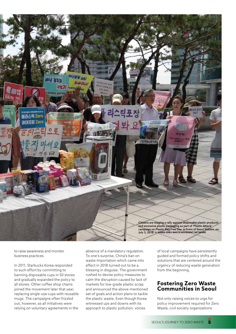

to raise awareness and monitor business practices.

In 2011, Starbucks Korea responded to such effort by committing to banning disposable cups in 50 stores and gradually expanded the policy to all stores. Other coffee shop chains joined the movement later that year, replacing single-use cups with reusable mugs. The campaigns often frizzled out, however, as all initiatives were relying on voluntary agreements in the

absence of a mandatory regulation. To one's surprise, China's ban on waste importation which came into effect in 2018 turned out to be a blessing in disguise. The government rushed to devise policy measures to calm the disruption caused by lack of markets for low-grade plastic scrap and announced the above-mentioned set of goals and action plans to tackle the plastic waste. Even though Korea witnessed ups and downs with its approach to plastic pollution, voices

of local campaigns have persistently guided and formed policy shifts and solutions that are centered around the urgency of reducing waste generation from the beginning.

#### **Fostering Zero Waste Communities in Seoul**

Not only raising voices to urge for policy improvement required for Zero Waste, civil society organizations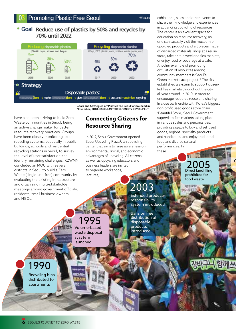$74444$ 

#### • Goal Reduce use of plastics by 50% and recycles by 70% until 2022



Goals and Strategies of 'Plastic Free Seoul' announced in November, 2018. © SEOUL METROPOLITAN CITY GOVERNMENT

have also been striving to build Zero Waste communities in Seoul, being an active change maker for better resource recovery practices. Groups have been closely monitoring local recycling systems, especially in public buildings, schools and residential recycling stations in Seoul, to survey the level of user satisfaction and identify remaining challenges. KZWMN concluded an MOU with several districts in Seoul to build a Zero Waste (single-use-free) community by evaluating the existing infrastructure and organizing multi-stakeholder meetings among government officials, residents, small business owners, and NGOs.

### **Connecting Citizens for Resource Sharing**

In 2017, Seoul Government opened Seoul Upcycling Plaza<sup>3</sup>, an upcycling center that aims to raise awareness on environmental, social, and economic advantages of upcycling. All citizens, as well as upcycling educators and business leaders are invited to organize workshops, lectures,

> Extended producer responsibility system introduced

these

Bans on free distribution of disposable products introduced

2003

exhibitions, sales and other events to share their knowledge and experiences in advancing upcycling of resources. The center is an excellent space for education on resource recovery, as one can casually visit the museum of upcycled products and art pieces made of discarded materials, shop at a reuse store, take part in weekend flea markets, or enjoy food or beverage at a cafe. Another example of promoting circulation of resources among community members is Seoul's Green Marketplace project.4 The city established a system to support citizenled flea markets throughout the city, all year around, in 2010, in order to encourage resource reuse and sharing. In close partnership with Korea's biggest non-profit used goods store chain 'Beautiful Store,' Seoul Government supervises flea markets taking place in various scales and personalities, providing a space to buy and sell used goods, regional specialty products and handcrafts, and enjoy traditional food and diverse cultural performances. In

> Direct landfilling prohibited for food waste Direct landfilling

收复时  $0.06 + 2.1$   $\epsilon$ 

# 1995

Volume-based waste disposal sysytem launched

1990

Recycling bins distributed to apartments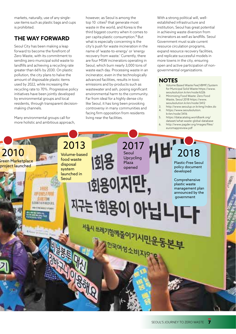markets, naturally, use of any singleuse items such as plastic bags and cups is prohibited.

### **THE WAY FORWARD**

Seoul City has been making a leap forward to become the forefront of Zero Waste, with its commitment to sending zero municipal solid waste to landfills and achieving a recycling rate greater than 66% by 2030. On plastic pollution, the city plans to halve the amount of disposable plastic items used by 2022, while increasing the recycling rate to 70%. Progressive policy initiatives have been jointly developed by environmental groups and local residents, through transparent decisionmaking channels.

Many environmental groups call for more holistic and ambitious approach, however, as Seoul is among the top  $10$  cities<sup>5</sup> that generate most waste in the world, and Korea is the third biggest country when it comes to per capita plastic consumption.6 But what is especially concerning is the city's push for waste incineration in the name of 'waste-to-energy' or 'energy recovery from waste.' Currently, there are four MSW incinerators operating in Seoul, which burn nearly 3,000 tons of waste each day. Processing waste in an incinerator, even in the technologically advanced facilities, results in toxic emissions and by-products such as wastewater and ash, posing significant environmental harm to the community. Far from ideal for a highly dense city like Seoul, it has long been provoking controversy in many communities and facing firm opposition from residents living near the facilities.

With a strong political will, wellestablished infrastructure and institution, Seoul has great potential in achieving waste diversion from incinerators as well as landfills. Seoul Government must scale current resource circulation programs, expand resource recovery facilities, and replicate successful models in more towns in the city, ensuring open and active participation of nongovernmental organizations.

#### **NOTES**

- 1. Volume Based Waste Fee(VBMF) System for Municipal Solid Waste https://www. seoulsolution.kr/en/node/6326
- 2. Minimizing Food Waste: Zero Food Waste, Seoul 2018 https://www. seoulsolution.kr/en/node/3412
- 3. http://www.seoulup.or.kr/eng/index.do
- https://www.seoulsolution. kr/en/node/3416
- 5. https://datacatalog.worldbank.org/ dataset/what-waste-global-database
- 6. http://www.pagder.org/images/files/ euromappreview.pdf